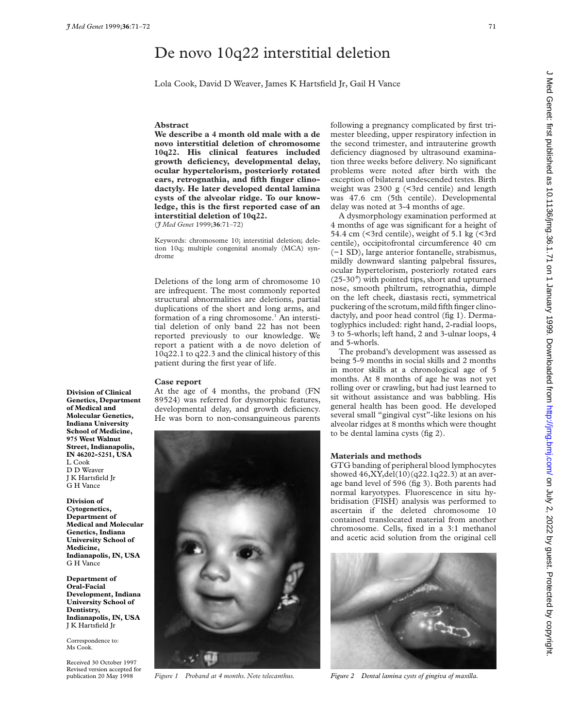# De novo 10q22 interstitial deletion

Lola Cook, David D Weaver, James K Hartsfield Jr, Gail H Vance

### **Abstract**

We describe a 4 month old male with a de **novo interstitial deletion of chromosome 10q22. His clinical features included growth deficiency, developmental delay, ocular hypertelorism, posteriorly rotated ears, retrognathia, and fifth finger clinodactyly. He later developed dental lamina cysts of the alveolar ridge. To our knowledge, this is the first reported case of an interstitial deletion of 10q22.** (*J Med Genet* 1999;**36**:71–72)

Keywords: chromosome 10; interstitial deletion; deletion 10q; multiple congenital anomaly (MCA) syndrome

Deletions of the long arm of chromosome 10 are infrequent. The most commonly reported structural abnormalities are deletions, partial duplications of the short and long arms, and formation of a ring chromosome.<sup>1</sup> An interstitial deletion of only band 22 has not been reported previously to our knowledge. We report a patient with a de novo deletion of 10q22.1 to q22.3 and the clinical history of this patient during the first year of life.

#### **Case report**

**Division of Clinical Genetics, Department of Medical and Molecular Genetics, Indiana University School of Medicine, 975 West Walnut Street, Indianapolis, IN 46202-5251, USA**

L Cook D D Weaver J K Hartsfield Jr G H Vance **Division of Cytogenetics, Department of Medical and Molecular Genetics, Indiana University School of**

**Medicine,**

G H Vance **Department of Oral-Facial**

**Dentistry,**

**Indianapolis, IN, USA**

**Development, Indiana University School of**

**Indianapolis, IN, USA** J K Hartsfield Jr Correspondence to: Ms Cook.

Received 30 October 1997 Revised version accepted for publication 20 May 1998

At the age of 4 months, the proband (FN 89524) was referred for dysmorphic features, developmental delay, and growth deficiency. He was born to non-consanguineous parents



following a pregnancy complicated by first trimester bleeding, upper respiratory infection in the second trimester, and intrauterine growth deficiency diagnosed by ultrasound examination three weeks before delivery. No significant problems were noted after birth with the exception of bilateral undescended testes. Birth weight was  $2300 \text{ g}$  (<3rd centile) and length was 47.6 cm (5th centile). Developmental delay was noted at 3-4 months of age.

A dysmorphology examination performed at 4 months of age was significant for a height of 54.4 cm (<3rd centile), weight of 5.1 kg (<3rd centile), occipitofrontal circumference 40 cm (−1 SD), large anterior fontanelle, strabismus, mildly downward slanting palpebral fissures, ocular hypertelorism, posteriorly rotated ears (25-30°) with pointed tips, short and upturned nose, smooth philtrum, retrognathia, dimple on the left cheek, diastasis recti, symmetrical puckering of the scrotum,mild fifth finger clinodactyly, and poor head control (fig 1). Dermatoglyphics included: right hand, 2-radial loops, 3 to 5-whorls; left hand, 2 and 3-ulnar loops, 4 and 5-whorls.

The proband's development was assessed as being 5-9 months in social skills and 2 months in motor skills at a chronological age of 5 months. At 8 months of age he was not yet rolling over or crawling, but had just learned to sit without assistance and was babbling. His general health has been good. He developed several small "gingival cyst"-like lesions on his alveolar ridges at 8 months which were thought to be dental lamina cysts (fig 2).

## **Materials and methods**

GTG banding of peripheral blood lymphocytes showed 46,XY,del(10)(q22.1q22.3) at an average band level of 596 (fig 3). Both parents had normal karyotypes. Fluorescence in situ hybridisation (FISH) analysis was performed to ascertain if the deleted chromosome 10 contained translocated material from another chromosome. Cells, fixed in a 3:1 methanol and acetic acid solution from the original cell



*Figure 1 Proband at 4 months. Note telecanthus. Figure 2 Dental lamina cysts of gingiva of maxilla.*